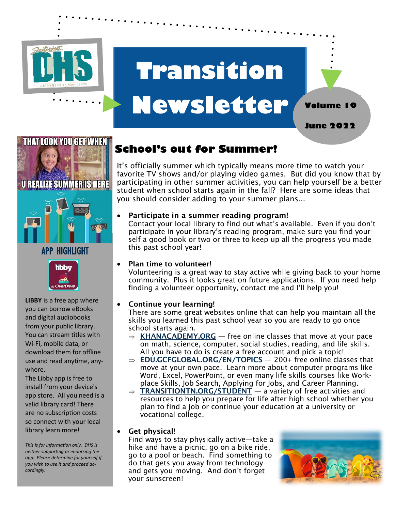

## **Transition Newsletter Volume 19**

**June 2022**



#### APP HIGHLIGHT



**LIBBY** is a free app where you can borrow eBooks and digital audiobooks from your public library. You can stream titles with Wi-Fi, mobile data, or download them for offline use and read anytime, anywhere.

The Libby app is free to install from your device's app store. All you need is a valid library card! There are no subscription costs so connect with your local library learn more!

*This is for information only. DHS is neither supporting or endorsing the app. Please determine for yourself if you wish to use it and proceed accordingly.* 

### **School's out for Summer!**

It's officially summer which typically means more time to watch your favorite TV shows and/or playing video games. But did you know that by participating in other summer activities, you can help yourself be a better student when school starts again in the fall? Here are some ideas that you should consider adding to your summer plans...

#### • Participate in a summer reading program!

Contact your local library to find out what's available. Even if you don't participate in your library's reading program, make sure you find yourself a good book or two or three to keep up all the progress you made this past school year!

#### Plan time to volunteer!

Volunteering is a great way to stay active while giving back to your home community. Plus it looks great on future applications. If you need help finding a volunteer opportunity, contact me and I'll help you!

#### • Continue your learning!

There are some great websites online that can help you maintain all the skills you learned this past school year so you are ready to go once school starts again.

- $\Rightarrow$  KHANACADEMY.ORG free online classes that move at your pace on math, science, computer, social studies, reading, and life skills. All you have to do is create a free account and pick a topic!
- $\Rightarrow$  **EDU.GCFGLOBAL.ORG/EN/TOPICS**  $-$  200+ free online classes that move at your own pace. Learn more about computer programs like Word, Excel, PowerPoint, or even many life skills courses like Workplace Skills, Job Search, Applying for Jobs, and Career Planning.
- $\Rightarrow$  TRANSITIONTN.ORG/STUDENT  $-$  a variety of free activities and resources to help you prepare for life after high school whether you plan to find a job or continue your education at a university or vocational college.

#### • Get physical!

Find ways to stay physically active—take a hike and have a picnic, go on a bike ride, go to a pool or beach. Find something to do that gets you away from technology and gets you moving. And don't forget your sunscreen!